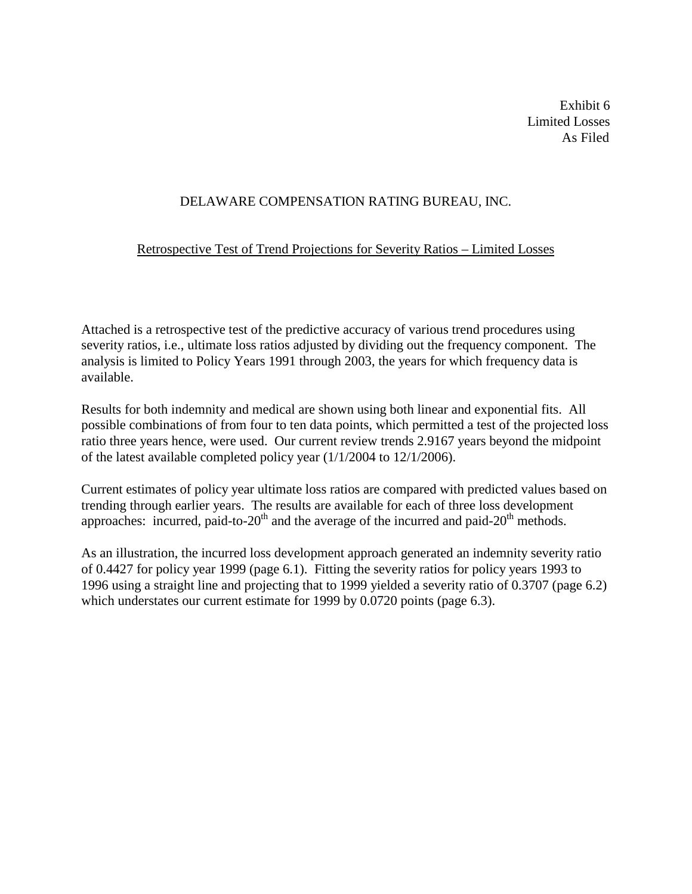Exhibit 6 Limited Losses As Filed

# DELAWARE COMPENSATION RATING BUREAU, INC.

# Retrospective Test of Trend Projections for Severity Ratios – Limited Losses

Attached is a retrospective test of the predictive accuracy of various trend procedures using severity ratios, i.e., ultimate loss ratios adjusted by dividing out the frequency component. The analysis is limited to Policy Years 1991 through 2003, the years for which frequency data is available.

Results for both indemnity and medical are shown using both linear and exponential fits. All possible combinations of from four to ten data points, which permitted a test of the projected loss ratio three years hence, were used. Our current review trends 2.9167 years beyond the midpoint of the latest available completed policy year (1/1/2004 to 12/1/2006).

Current estimates of policy year ultimate loss ratios are compared with predicted values based on trending through earlier years. The results are available for each of three loss development approaches: incurred, paid-to-20<sup>th</sup> and the average of the incurred and paid-20<sup>th</sup> methods.

As an illustration, the incurred loss development approach generated an indemnity severity ratio of 0.4427 for policy year 1999 (page 6.1). Fitting the severity ratios for policy years 1993 to 1996 using a straight line and projecting that to 1999 yielded a severity ratio of 0.3707 (page 6.2) which understates our current estimate for 1999 by 0.0720 points (page 6.3).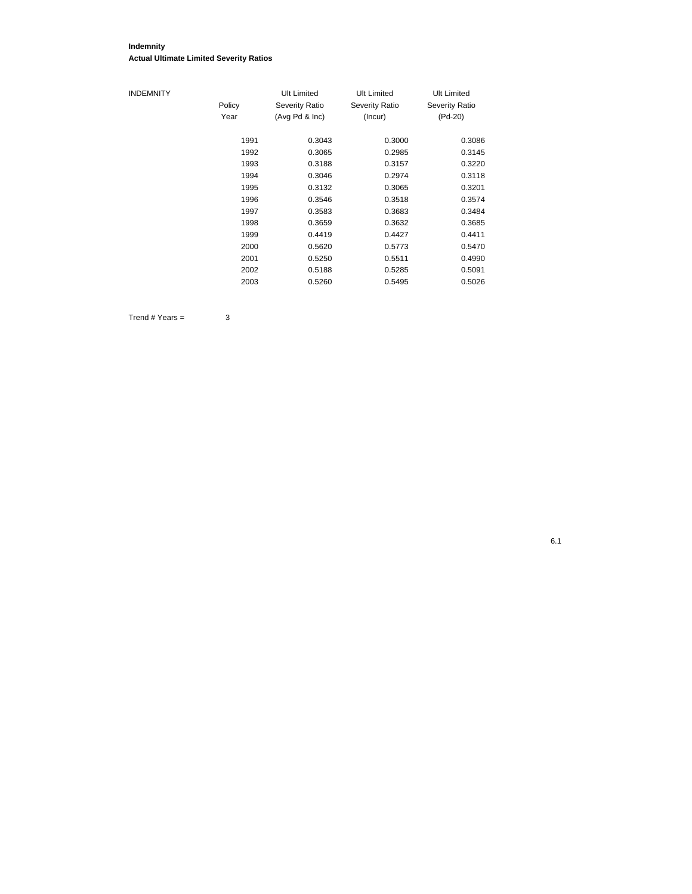#### **Indemnity Actual Ultimate Limited Severity Ratios**

| <b>INDEMNITY</b> |        | Ult Limited           | Ult Limited           | Ult Limited    |
|------------------|--------|-----------------------|-----------------------|----------------|
|                  | Policy | <b>Severity Ratio</b> | <b>Severity Ratio</b> | Severity Ratio |
|                  | Year   | (Avg Pd & Inc)        | (Incur)               | (Pd-20)        |
|                  | 1991   | 0.3043                | 0.3000                | 0.3086         |
|                  | 1992   | 0.3065                | 0.2985                | 0.3145         |
|                  | 1993   | 0.3188                | 0.3157                | 0.3220         |
|                  | 1994   | 0.3046                | 0.2974                | 0.3118         |
|                  | 1995   | 0.3132                | 0.3065                | 0.3201         |
|                  | 1996   | 0.3546                | 0.3518                | 0.3574         |
|                  | 1997   | 0.3583                | 0.3683                | 0.3484         |
|                  | 1998   | 0.3659                | 0.3632                | 0.3685         |
|                  | 1999   | 0.4419                | 0.4427                | 0.4411         |
|                  | 2000   | 0.5620                | 0.5773                | 0.5470         |
|                  | 2001   | 0.5250                | 0.5511                | 0.4990         |
|                  | 2002   | 0.5188                | 0.5285                | 0.5091         |
|                  | 2003   | 0.5260                | 0.5495                | 0.5026         |

 $Trend # Years =  $3$$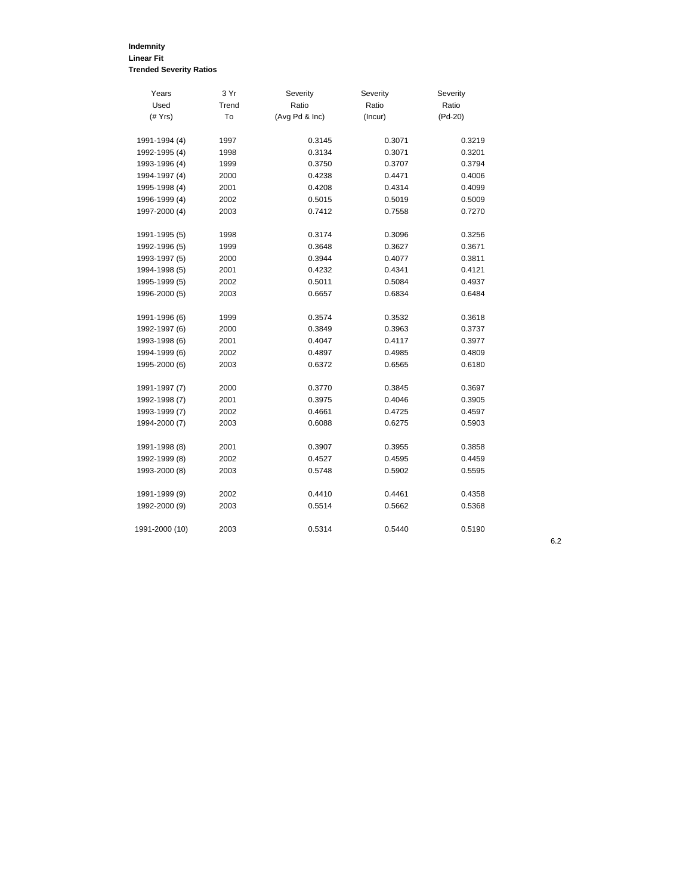# **Indemnity Linear Fit Trended Severity Ratios**

| Years          | 3 Yr  | Severity       | Severity | Severity  |
|----------------|-------|----------------|----------|-----------|
| Used           | Trend | Ratio          | Ratio    | Ratio     |
| $($ # $Yrs)$   | To    | (Avg Pd & Inc) | (Incur)  | $(Pd-20)$ |
| 1991-1994 (4)  | 1997  | 0.3145         | 0.3071   | 0.3219    |
| 1992-1995 (4)  | 1998  | 0.3134         | 0.3071   | 0.3201    |
| 1993-1996 (4)  | 1999  | 0.3750         | 0.3707   | 0.3794    |
| 1994-1997 (4)  | 2000  | 0.4238         | 0.4471   | 0.4006    |
| 1995-1998 (4)  | 2001  | 0.4208         | 0.4314   | 0.4099    |
| 1996-1999 (4)  | 2002  | 0.5015         | 0.5019   | 0.5009    |
| 1997-2000 (4)  | 2003  | 0.7412         | 0.7558   | 0.7270    |
| 1991-1995 (5)  | 1998  | 0.3174         | 0.3096   | 0.3256    |
| 1992-1996 (5)  | 1999  | 0.3648         | 0.3627   | 0.3671    |
| 1993-1997 (5)  | 2000  | 0.3944         | 0.4077   | 0.3811    |
| 1994-1998 (5)  | 2001  | 0.4232         | 0.4341   | 0.4121    |
| 1995-1999 (5)  | 2002  | 0.5011         | 0.5084   | 0.4937    |
| 1996-2000 (5)  | 2003  | 0.6657         | 0.6834   | 0.6484    |
| 1991-1996 (6)  | 1999  | 0.3574         | 0.3532   | 0.3618    |
| 1992-1997 (6)  | 2000  | 0.3849         | 0.3963   | 0.3737    |
| 1993-1998 (6)  | 2001  | 0.4047         | 0.4117   | 0.3977    |
| 1994-1999 (6)  | 2002  | 0.4897         | 0.4985   | 0.4809    |
| 1995-2000 (6)  | 2003  | 0.6372         | 0.6565   | 0.6180    |
| 1991-1997 (7)  | 2000  | 0.3770         | 0.3845   | 0.3697    |
| 1992-1998 (7)  | 2001  | 0.3975         | 0.4046   | 0.3905    |
| 1993-1999 (7)  | 2002  | 0.4661         | 0.4725   | 0.4597    |
| 1994-2000 (7)  | 2003  | 0.6088         | 0.6275   | 0.5903    |
| 1991-1998 (8)  | 2001  | 0.3907         | 0.3955   | 0.3858    |
| 1992-1999 (8)  | 2002  | 0.4527         | 0.4595   | 0.4459    |
| 1993-2000 (8)  | 2003  | 0.5748         | 0.5902   | 0.5595    |
| 1991-1999 (9)  | 2002  | 0.4410         | 0.4461   | 0.4358    |
| 1992-2000 (9)  | 2003  | 0.5514         | 0.5662   | 0.5368    |
| 1991-2000 (10) | 2003  | 0.5314         | 0.5440   | 0.5190    |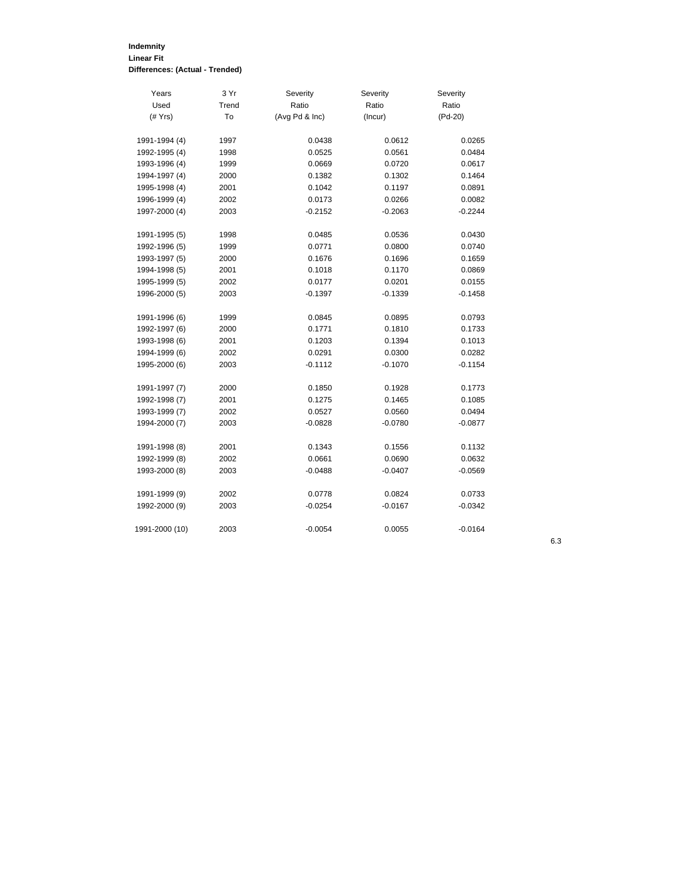# **Indemnity Linear Fit Differences: (Actual - Trended)**

| Years          | 3 Yr  | Severity       | Severity  | Severity  |
|----------------|-------|----------------|-----------|-----------|
| Used           | Trend | Ratio          | Ratio     | Ratio     |
| $(\#$ Yrs)     | To    | (Avg Pd & Inc) | (Incur)   | $(Pd-20)$ |
| 1991-1994 (4)  | 1997  | 0.0438         | 0.0612    | 0.0265    |
| 1992-1995 (4)  | 1998  | 0.0525         | 0.0561    | 0.0484    |
| 1993-1996 (4)  | 1999  | 0.0669         | 0.0720    | 0.0617    |
| 1994-1997 (4)  | 2000  | 0.1382         | 0.1302    | 0.1464    |
| 1995-1998 (4)  | 2001  | 0.1042         | 0.1197    | 0.0891    |
| 1996-1999 (4)  | 2002  | 0.0173         | 0.0266    | 0.0082    |
| 1997-2000 (4)  | 2003  | $-0.2152$      | $-0.2063$ | $-0.2244$ |
|                |       |                |           |           |
| 1991-1995 (5)  | 1998  | 0.0485         | 0.0536    | 0.0430    |
| 1992-1996 (5)  | 1999  | 0.0771         | 0.0800    | 0.0740    |
| 1993-1997 (5)  | 2000  | 0.1676         | 0.1696    | 0.1659    |
| 1994-1998 (5)  | 2001  | 0.1018         | 0.1170    | 0.0869    |
| 1995-1999 (5)  | 2002  | 0.0177         | 0.0201    | 0.0155    |
| 1996-2000 (5)  | 2003  | $-0.1397$      | -0.1339   | $-0.1458$ |
|                |       |                |           |           |
| 1991-1996 (6)  | 1999  | 0.0845         | 0.0895    | 0.0793    |
| 1992-1997 (6)  | 2000  | 0.1771         | 0.1810    | 0.1733    |
| 1993-1998 (6)  | 2001  | 0.1203         | 0.1394    | 0.1013    |
| 1994-1999 (6)  | 2002  | 0.0291         | 0.0300    | 0.0282    |
| 1995-2000 (6)  | 2003  | $-0.1112$      | $-0.1070$ | $-0.1154$ |
| 1991-1997 (7)  | 2000  | 0.1850         | 0.1928    | 0.1773    |
| 1992-1998 (7)  | 2001  | 0.1275         | 0.1465    | 0.1085    |
| 1993-1999 (7)  | 2002  | 0.0527         | 0.0560    | 0.0494    |
| 1994-2000 (7)  | 2003  | $-0.0828$      | $-0.0780$ | $-0.0877$ |
|                |       |                |           |           |
| 1991-1998 (8)  | 2001  | 0.1343         | 0.1556    | 0.1132    |
| 1992-1999 (8)  | 2002  | 0.0661         | 0.0690    | 0.0632    |
| 1993-2000 (8)  | 2003  | $-0.0488$      | $-0.0407$ | $-0.0569$ |
| 1991-1999 (9)  | 2002  | 0.0778         | 0.0824    | 0.0733    |
| 1992-2000 (9)  |       | $-0.0254$      | $-0.0167$ | $-0.0342$ |
|                | 2003  |                |           |           |
| 1991-2000 (10) | 2003  | $-0.0054$      | 0.0055    | $-0.0164$ |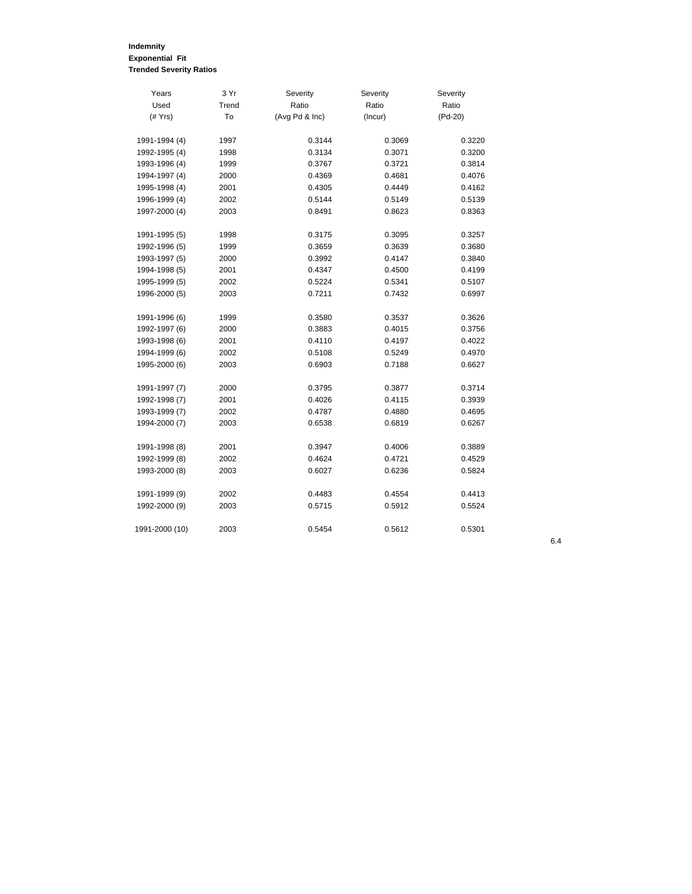#### **Indemnity Exponential Fit Trended Severity Ratios**

| Years          | 3 Yr  | Severity       | Severity | Severity  |
|----------------|-------|----------------|----------|-----------|
| Used           | Trend | Ratio          | Ratio    | Ratio     |
| $($ # $Yrs)$   | To    | (Avg Pd & Inc) | (Incur)  | $(Pd-20)$ |
|                |       |                |          |           |
| 1991-1994 (4)  | 1997  | 0.3144         | 0.3069   | 0.3220    |
| 1992-1995 (4)  | 1998  | 0.3134         | 0.3071   | 0.3200    |
| 1993-1996 (4)  | 1999  | 0.3767         | 0.3721   | 0.3814    |
| 1994-1997 (4)  | 2000  | 0.4369         | 0.4681   | 0.4076    |
| 1995-1998 (4)  | 2001  | 0.4305         | 0.4449   | 0.4162    |
| 1996-1999 (4)  | 2002  | 0.5144         | 0.5149   | 0.5139    |
| 1997-2000 (4)  | 2003  | 0.8491         | 0.8623   | 0.8363    |
| 1991-1995 (5)  | 1998  | 0.3175         | 0.3095   | 0.3257    |
| 1992-1996 (5)  | 1999  | 0.3659         | 0.3639   | 0.3680    |
| 1993-1997 (5)  | 2000  | 0.3992         | 0.4147   | 0.3840    |
| 1994-1998 (5)  | 2001  | 0.4347         | 0.4500   | 0.4199    |
| 1995-1999 (5)  | 2002  | 0.5224         | 0.5341   | 0.5107    |
| 1996-2000 (5)  | 2003  | 0.7211         | 0.7432   | 0.6997    |
|                |       |                |          |           |
| 1991-1996 (6)  | 1999  | 0.3580         | 0.3537   | 0.3626    |
| 1992-1997 (6)  | 2000  | 0.3883         | 0.4015   | 0.3756    |
| 1993-1998 (6)  | 2001  | 0.4110         | 0.4197   | 0.4022    |
| 1994-1999 (6)  | 2002  | 0.5108         | 0.5249   | 0.4970    |
| 1995-2000 (6)  | 2003  | 0.6903         | 0.7188   | 0.6627    |
| 1991-1997 (7)  | 2000  | 0.3795         | 0.3877   | 0.3714    |
| 1992-1998 (7)  | 2001  | 0.4026         | 0.4115   | 0.3939    |
| 1993-1999 (7)  | 2002  | 0.4787         | 0.4880   | 0.4695    |
| 1994-2000 (7)  | 2003  | 0.6538         | 0.6819   | 0.6267    |
| 1991-1998 (8)  | 2001  | 0.3947         | 0.4006   | 0.3889    |
| 1992-1999 (8)  | 2002  | 0.4624         | 0.4721   | 0.4529    |
| 1993-2000 (8)  | 2003  | 0.6027         | 0.6236   | 0.5824    |
|                |       |                |          |           |
| 1991-1999 (9)  | 2002  | 0.4483         | 0.4554   | 0.4413    |
| 1992-2000 (9)  | 2003  | 0.5715         | 0.5912   | 0.5524    |
| 1991-2000 (10) | 2003  | 0.5454         | 0.5612   | 0.5301    |
|                |       |                |          |           |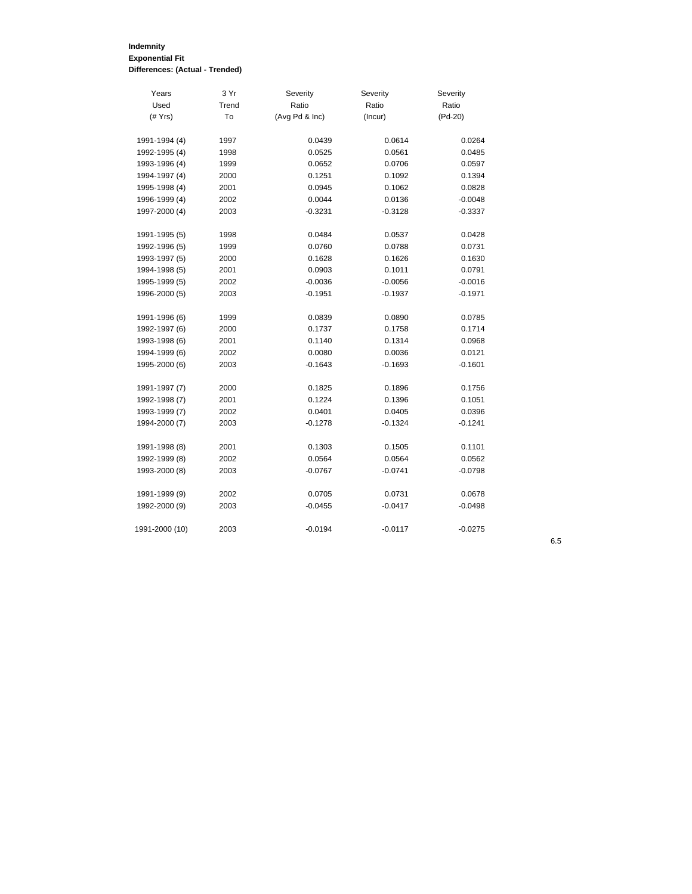# **Indemnity Exponential Fit Differences: (Actual - Trended)**

| Years          | 3 Yr  | Severity       | Severity  | Severity  |
|----------------|-------|----------------|-----------|-----------|
| Used           | Trend | Ratio          | Ratio     | Ratio     |
| $($ # $Yrs)$   | To    | (Avg Pd & Inc) | (Incur)   | $(Pd-20)$ |
|                |       |                |           |           |
| 1991-1994 (4)  | 1997  | 0.0439         | 0.0614    | 0.0264    |
| 1992-1995 (4)  | 1998  | 0.0525         | 0.0561    | 0.0485    |
| 1993-1996 (4)  | 1999  | 0.0652         | 0.0706    | 0.0597    |
| 1994-1997 (4)  | 2000  | 0.1251         | 0.1092    | 0.1394    |
| 1995-1998 (4)  | 2001  | 0.0945         | 0.1062    | 0.0828    |
| 1996-1999 (4)  | 2002  | 0.0044         | 0.0136    | $-0.0048$ |
| 1997-2000 (4)  | 2003  | $-0.3231$      | $-0.3128$ | $-0.3337$ |
| 1991-1995 (5)  | 1998  | 0.0484         | 0.0537    | 0.0428    |
| 1992-1996 (5)  | 1999  | 0.0760         | 0.0788    | 0.0731    |
| 1993-1997 (5)  | 2000  | 0.1628         | 0.1626    | 0.1630    |
| 1994-1998 (5)  | 2001  | 0.0903         | 0.1011    | 0.0791    |
| 1995-1999 (5)  | 2002  | $-0.0036$      | $-0.0056$ | $-0.0016$ |
| 1996-2000 (5)  | 2003  | $-0.1951$      | -0.1937   | $-0.1971$ |
| 1991-1996 (6)  | 1999  | 0.0839         | 0.0890    | 0.0785    |
| 1992-1997 (6)  | 2000  | 0.1737         | 0.1758    | 0.1714    |
| 1993-1998 (6)  | 2001  | 0.1140         | 0.1314    | 0.0968    |
| 1994-1999 (6)  | 2002  | 0.0080         | 0.0036    | 0.0121    |
| 1995-2000 (6)  | 2003  | $-0.1643$      | $-0.1693$ | $-0.1601$ |
|                |       |                |           |           |
| 1991-1997 (7)  | 2000  | 0.1825         | 0.1896    | 0.1756    |
| 1992-1998 (7)  | 2001  | 0.1224         | 0.1396    | 0.1051    |
| 1993-1999 (7)  | 2002  | 0.0401         | 0.0405    | 0.0396    |
| 1994-2000 (7)  | 2003  | $-0.1278$      | $-0.1324$ | $-0.1241$ |
| 1991-1998 (8)  | 2001  | 0.1303         | 0.1505    | 0.1101    |
| 1992-1999 (8)  | 2002  | 0.0564         | 0.0564    | 0.0562    |
| 1993-2000 (8)  | 2003  | $-0.0767$      | $-0.0741$ | $-0.0798$ |
| 1991-1999 (9)  | 2002  | 0.0705         | 0.0731    | 0.0678    |
| 1992-2000 (9)  | 2003  | $-0.0455$      | $-0.0417$ | $-0.0498$ |
|                |       |                |           |           |
| 1991-2000 (10) | 2003  | $-0.0194$      | $-0.0117$ | $-0.0275$ |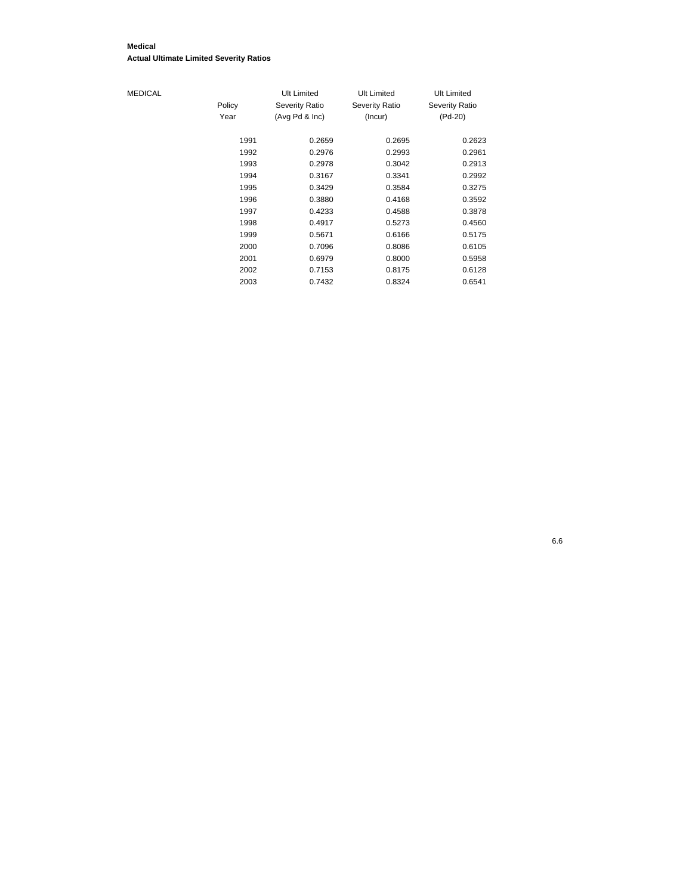#### **Medical Actual Ultimate Limited Severity Ratios**

# $MEDICAL$

|        | Ult Limited           | Ult Limited    | Ult Limited    |
|--------|-----------------------|----------------|----------------|
| Policy | <b>Severity Ratio</b> | Severity Ratio | Severity Ratio |
| Year   | (Avg Pd & Inc)        | (Incur)        | (Pd-20)        |
|        |                       |                |                |
| 1991   | 0.2659                | 0.2695         | 0.2623         |
| 1992   | 0.2976                | 0.2993         | 0.2961         |
| 1993   | 0.2978                | 0.3042         | 0.2913         |
| 1994   | 0.3167                | 0.3341         | 0.2992         |
| 1995   | 0.3429                | 0.3584         | 0.3275         |
| 1996   | 0.3880                | 0.4168         | 0.3592         |
| 1997   | 0.4233                | 0.4588         | 0.3878         |
| 1998   | 0.4917                | 0.5273         | 0.4560         |
| 1999   | 0.5671                | 0.6166         | 0.5175         |
| 2000   | 0.7096                | 0.8086         | 0.6105         |
| 2001   | 0.6979                | 0.8000         | 0.5958         |
| 2002   | 0.7153                | 0.8175         | 0.6128         |
| 2003   | 0.7432                | 0.8324         | 0.6541         |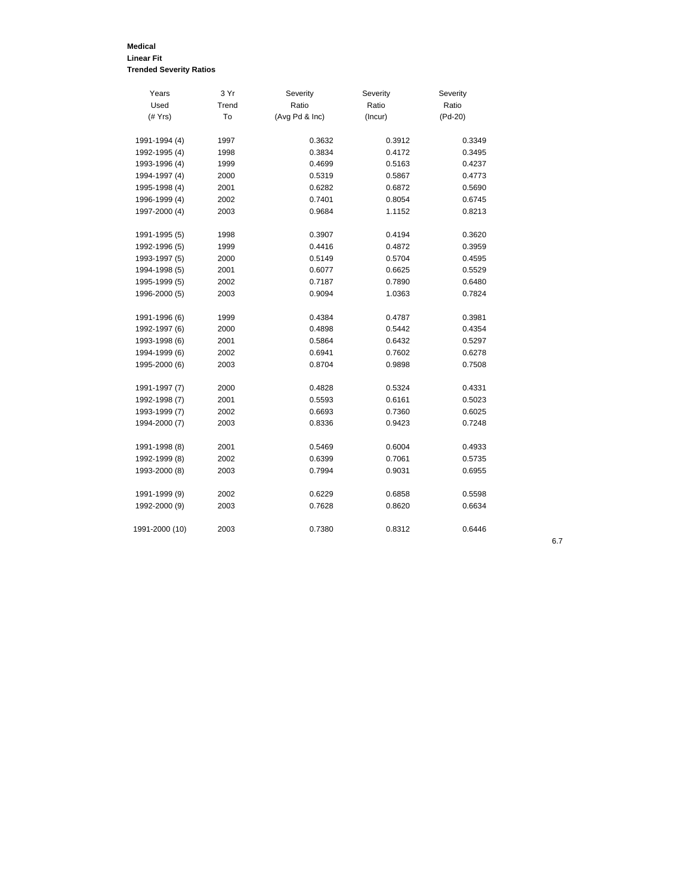# **Medical Linear Fit Trended Severity Ratios**

| Years          | 3 Yr  | Severity       | Severity | Severity |
|----------------|-------|----------------|----------|----------|
| Used           | Trend | Ratio          | Ratio    | Ratio    |
| $($ # $Yrs)$   | To    | (Avg Pd & Inc) | (Incur)  | (Pd-20)  |
| 1991-1994 (4)  | 1997  | 0.3632         | 0.3912   | 0.3349   |
| 1992-1995 (4)  | 1998  | 0.3834         | 0.4172   | 0.3495   |
| 1993-1996 (4)  | 1999  | 0.4699         | 0.5163   | 0.4237   |
| 1994-1997 (4)  | 2000  | 0.5319         | 0.5867   | 0.4773   |
| 1995-1998 (4)  | 2001  | 0.6282         | 0.6872   | 0.5690   |
| 1996-1999 (4)  | 2002  | 0.7401         | 0.8054   | 0.6745   |
| 1997-2000 (4)  | 2003  | 0.9684         | 1.1152   | 0.8213   |
| 1991-1995 (5)  | 1998  | 0.3907         | 0.4194   | 0.3620   |
| 1992-1996 (5)  | 1999  | 0.4416         | 0.4872   | 0.3959   |
| 1993-1997 (5)  | 2000  | 0.5149         | 0.5704   | 0.4595   |
| 1994-1998 (5)  | 2001  | 0.6077         | 0.6625   | 0.5529   |
| 1995-1999 (5)  | 2002  | 0.7187         | 0.7890   | 0.6480   |
| 1996-2000 (5)  | 2003  | 0.9094         | 1.0363   | 0.7824   |
| 1991-1996 (6)  | 1999  | 0.4384         | 0.4787   | 0.3981   |
| 1992-1997 (6)  | 2000  | 0.4898         | 0.5442   | 0.4354   |
| 1993-1998 (6)  | 2001  | 0.5864         | 0.6432   | 0.5297   |
| 1994-1999 (6)  | 2002  | 0.6941         | 0.7602   | 0.6278   |
| 1995-2000 (6)  | 2003  | 0.8704         | 0.9898   | 0.7508   |
| 1991-1997 (7)  | 2000  | 0.4828         | 0.5324   | 0.4331   |
| 1992-1998 (7)  | 2001  | 0.5593         | 0.6161   | 0.5023   |
| 1993-1999 (7)  | 2002  | 0.6693         | 0.7360   | 0.6025   |
| 1994-2000 (7)  | 2003  | 0.8336         | 0.9423   | 0.7248   |
| 1991-1998 (8)  | 2001  | 0.5469         | 0.6004   | 0.4933   |
| 1992-1999 (8)  | 2002  | 0.6399         | 0.7061   | 0.5735   |
| 1993-2000 (8)  | 2003  | 0.7994         | 0.9031   | 0.6955   |
| 1991-1999 (9)  | 2002  | 0.6229         | 0.6858   | 0.5598   |
| 1992-2000 (9)  | 2003  | 0.7628         | 0.8620   | 0.6634   |
| 1991-2000 (10) | 2003  | 0.7380         | 0.8312   | 0.6446   |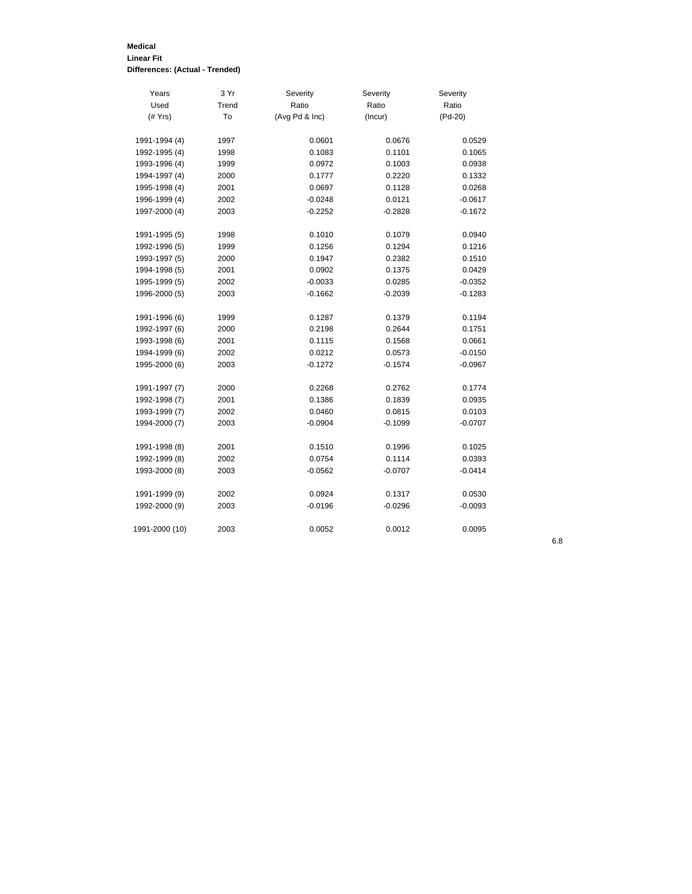#### **Medical Linear Fit Differences: (Actual - Trended)**

| Years          | 3 Yr  | Severity       | Severity  | Severity  |
|----------------|-------|----------------|-----------|-----------|
| Used           | Trend | Ratio          | Ratio     | Ratio     |
| $($ $#$ Yrs)   | To    | (Avg Pd & Inc) | (Incur)   | (Pd-20)   |
|                |       |                |           |           |
| 1991-1994 (4)  | 1997  | 0.0601         | 0.0676    | 0.0529    |
| 1992-1995 (4)  | 1998  | 0.1083         | 0.1101    | 0.1065    |
| 1993-1996 (4)  | 1999  | 0.0972         | 0.1003    | 0.0938    |
| 1994-1997 (4)  | 2000  | 0.1777         | 0.2220    | 0.1332    |
| 1995-1998 (4)  | 2001  | 0.0697         | 0.1128    | 0.0268    |
| 1996-1999 (4)  | 2002  | $-0.0248$      | 0.0121    | $-0.0617$ |
| 1997-2000 (4)  | 2003  | $-0.2252$      | $-0.2828$ | $-0.1672$ |
| 1991-1995 (5)  | 1998  | 0.1010         | 0.1079    | 0.0940    |
| 1992-1996 (5)  | 1999  | 0.1256         | 0.1294    | 0.1216    |
| 1993-1997 (5)  | 2000  | 0.1947         | 0.2382    | 0.1510    |
| 1994-1998 (5)  | 2001  | 0.0902         | 0.1375    | 0.0429    |
| 1995-1999 (5)  | 2002  | $-0.0033$      | 0.0285    | $-0.0352$ |
| 1996-2000 (5)  | 2003  | $-0.1662$      | $-0.2039$ | $-0.1283$ |
|                |       |                |           |           |
| 1991-1996 (6)  | 1999  | 0.1287         | 0.1379    | 0.1194    |
| 1992-1997 (6)  | 2000  | 0.2198         | 0.2644    | 0.1751    |
| 1993-1998 (6)  | 2001  | 0.1115         | 0.1568    | 0.0661    |
| 1994-1999 (6)  | 2002  | 0.0212         | 0.0573    | $-0.0150$ |
| 1995-2000 (6)  | 2003  | $-0.1272$      | $-0.1574$ | $-0.0967$ |
| 1991-1997 (7)  | 2000  | 0.2268         | 0.2762    | 0.1774    |
| 1992-1998 (7)  | 2001  | 0.1386         | 0.1839    | 0.0935    |
| 1993-1999 (7)  | 2002  | 0.0460         | 0.0815    | 0.0103    |
| 1994-2000 (7)  | 2003  | $-0.0904$      | $-0.1099$ | $-0.0707$ |
|                |       |                |           |           |
| 1991-1998 (8)  | 2001  | 0.1510         | 0.1996    | 0.1025    |
| 1992-1999 (8)  | 2002  | 0.0754         | 0.1114    | 0.0393    |
| 1993-2000 (8)  | 2003  | $-0.0562$      | $-0.0707$ | $-0.0414$ |
| 1991-1999 (9)  | 2002  | 0.0924         | 0.1317    | 0.0530    |
| 1992-2000 (9)  | 2003  | $-0.0196$      | $-0.0296$ | $-0.0093$ |
| 1991-2000 (10) | 2003  | 0.0052         | 0.0012    | 0.0095    |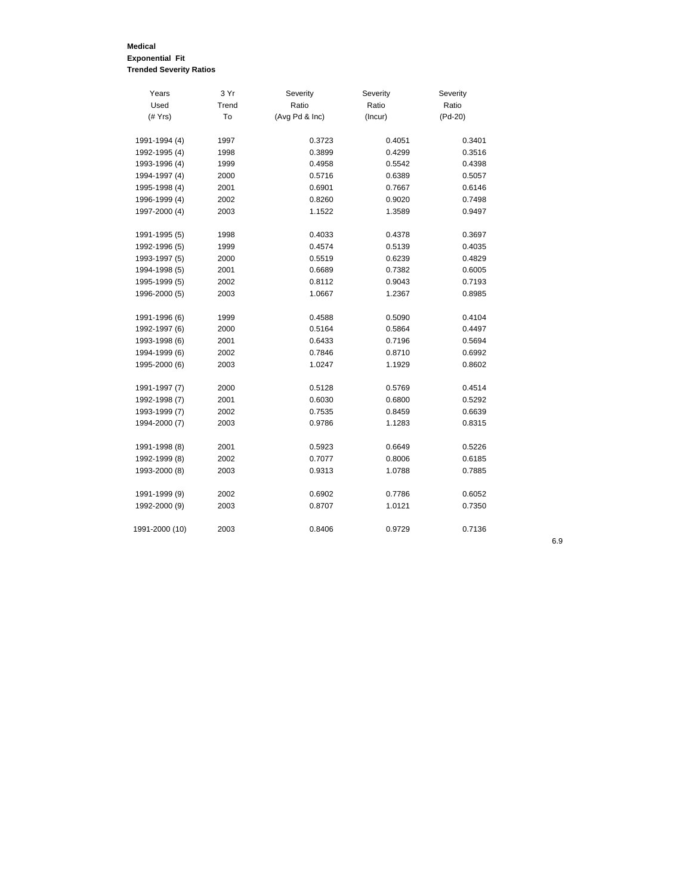# **Medical Exponential Fit Trended Severity Ratios**

| Years          | 3 Yr  | Severity       | Severity | Severity  |
|----------------|-------|----------------|----------|-----------|
| Used           | Trend | Ratio          | Ratio    | Ratio     |
| $($ # $Yrs)$   | To    | (Avg Pd & Inc) | (Incur)  | $(Pd-20)$ |
|                |       |                |          |           |
| 1991-1994 (4)  | 1997  | 0.3723         | 0.4051   | 0.3401    |
| 1992-1995 (4)  | 1998  | 0.3899         | 0.4299   | 0.3516    |
| 1993-1996 (4)  | 1999  | 0.4958         | 0.5542   | 0.4398    |
| 1994-1997 (4)  | 2000  | 0.5716         | 0.6389   | 0.5057    |
| 1995-1998 (4)  | 2001  | 0.6901         | 0.7667   | 0.6146    |
| 1996-1999 (4)  | 2002  | 0.8260         | 0.9020   | 0.7498    |
| 1997-2000 (4)  | 2003  | 1.1522         | 1.3589   | 0.9497    |
| 1991-1995 (5)  | 1998  | 0.4033         | 0.4378   | 0.3697    |
| 1992-1996 (5)  | 1999  | 0.4574         | 0.5139   | 0.4035    |
| 1993-1997 (5)  | 2000  | 0.5519         | 0.6239   | 0.4829    |
| 1994-1998 (5)  | 2001  | 0.6689         | 0.7382   | 0.6005    |
| 1995-1999 (5)  | 2002  | 0.8112         | 0.9043   | 0.7193    |
| 1996-2000 (5)  | 2003  | 1.0667         | 1.2367   | 0.8985    |
|                |       |                |          |           |
| 1991-1996 (6)  | 1999  | 0.4588         | 0.5090   | 0.4104    |
| 1992-1997 (6)  | 2000  | 0.5164         | 0.5864   | 0.4497    |
| 1993-1998 (6)  | 2001  | 0.6433         | 0.7196   | 0.5694    |
| 1994-1999 (6)  | 2002  | 0.7846         | 0.8710   | 0.6992    |
| 1995-2000 (6)  | 2003  | 1.0247         | 1.1929   | 0.8602    |
| 1991-1997 (7)  | 2000  | 0.5128         | 0.5769   | 0.4514    |
| 1992-1998 (7)  | 2001  | 0.6030         | 0.6800   | 0.5292    |
| 1993-1999 (7)  | 2002  | 0.7535         | 0.8459   | 0.6639    |
| 1994-2000 (7)  | 2003  | 0.9786         | 1.1283   | 0.8315    |
| 1991-1998 (8)  | 2001  | 0.5923         | 0.6649   | 0.5226    |
| 1992-1999 (8)  | 2002  | 0.7077         | 0.8006   | 0.6185    |
| 1993-2000 (8)  | 2003  | 0.9313         | 1.0788   | 0.7885    |
| 1991-1999 (9)  | 2002  | 0.6902         | 0.7786   | 0.6052    |
| 1992-2000 (9)  | 2003  | 0.8707         | 1.0121   | 0.7350    |
| 1991-2000 (10) | 2003  | 0.8406         | 0.9729   | 0.7136    |
|                |       |                |          |           |